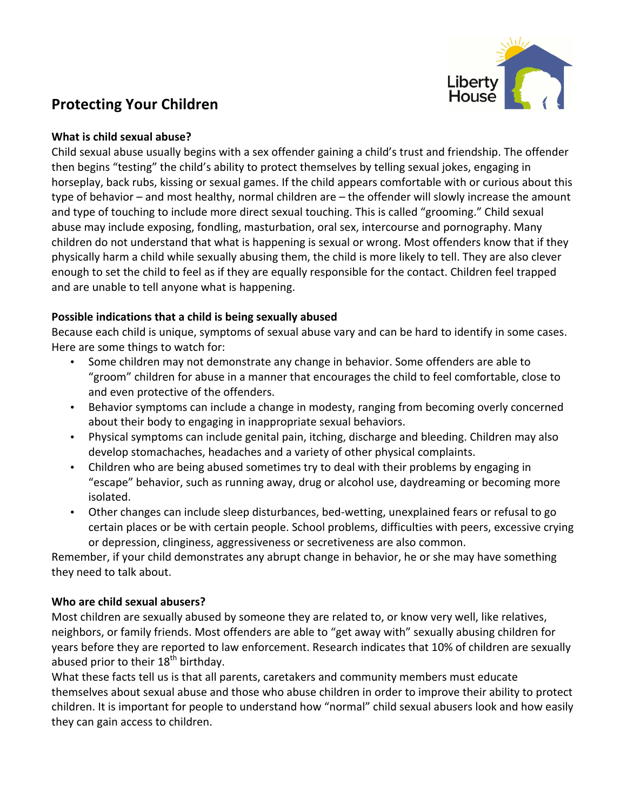

# **Protecting Your Children**<br> **Protecting Your Children**

#### **What is child sexual abuse?**

Child sexual abuse usually begins with a sex offender gaining a child's trust and friendship. The offender then begins "testing" the child's ability to protect themselves by telling sexual jokes, engaging in horseplay, back rubs, kissing or sexual games. If the child appears comfortable with or curious about this type of behavior  $-$  and most healthy, normal children are  $-$  the offender will slowly increase the amount and type of touching to include more direct sexual touching. This is called "grooming." Child sexual abuse may include exposing, fondling, masturbation, oral sex, intercourse and pornography. Many children do not understand that what is happening is sexual or wrong. Most offenders know that if they physically harm a child while sexually abusing them, the child is more likely to tell. They are also clever enough to set the child to feel as if they are equally responsible for the contact. Children feel trapped and are unable to tell anyone what is happening.

# **Possible indications that a child is being sexually abused**

Because each child is unique, symptoms of sexual abuse vary and can be hard to identify in some cases. Here are some things to watch for:

- Some children may not demonstrate any change in behavior. Some offenders are able to "groom" children for abuse in a manner that encourages the child to feel comfortable, close to and even protective of the offenders.
- Behavior symptoms can include a change in modesty, ranging from becoming overly concerned about their body to engaging in inappropriate sexual behaviors.
- Physical symptoms can include genital pain, itching, discharge and bleeding. Children may also develop stomachaches, headaches and a variety of other physical complaints.
- Children who are being abused sometimes try to deal with their problems by engaging in "escape" behavior, such as running away, drug or alcohol use, daydreaming or becoming more isolated.
- Other changes can include sleep disturbances, bed-wetting, unexplained fears or refusal to go certain places or be with certain people. School problems, difficulties with peers, excessive crying or depression, clinginess, aggressiveness or secretiveness are also common.

Remember, if your child demonstrates any abrupt change in behavior, he or she may have something they need to talk about.

# **Who are child sexual abusers?**

Most children are sexually abused by someone they are related to, or know very well, like relatives, neighbors, or family friends. Most offenders are able to "get away with" sexually abusing children for years before they are reported to law enforcement. Research indicates that 10% of children are sexually abused prior to their  $18<sup>th</sup>$  birthday.

What these facts tell us is that all parents, caretakers and community members must educate themselves about sexual abuse and those who abuse children in order to improve their ability to protect children. It is important for people to understand how "normal" child sexual abusers look and how easily they can gain access to children.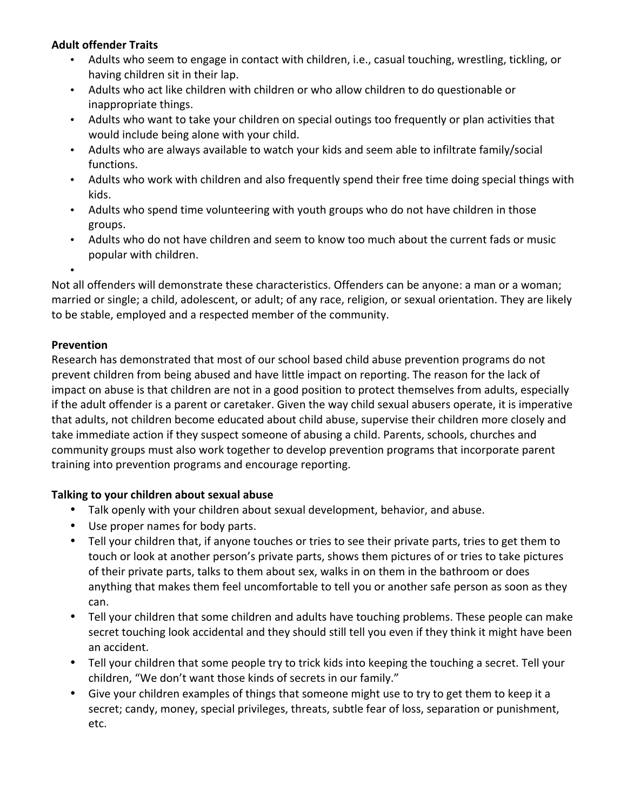## **Adult offender Traits**

- Adults who seem to engage in contact with children, i.e., casual touching, wrestling, tickling, or having children sit in their lap.
- Adults who act like children with children or who allow children to do questionable or inappropriate things.
- Adults who want to take your children on special outings too frequently or plan activities that would include being alone with your child.
- Adults who are always available to watch your kids and seem able to infiltrate family/social functions.
- Adults who work with children and also frequently spend their free time doing special things with kids.
- Adults who spend time volunteering with youth groups who do not have children in those groups.
- Adults who do not have children and seem to know too much about the current fads or music popular with children.
- •

Not all offenders will demonstrate these characteristics. Offenders can be anyone: a man or a woman; married or single; a child, adolescent, or adult; of any race, religion, or sexual orientation. They are likely to be stable, employed and a respected member of the community.

## **Prevention**

Research has demonstrated that most of our school based child abuse prevention programs do not prevent children from being abused and have little impact on reporting. The reason for the lack of impact on abuse is that children are not in a good position to protect themselves from adults, especially if the adult offender is a parent or caretaker. Given the way child sexual abusers operate, it is imperative that adults, not children become educated about child abuse, supervise their children more closely and take immediate action if they suspect someone of abusing a child. Parents, schools, churches and community groups must also work together to develop prevention programs that incorporate parent training into prevention programs and encourage reporting.

# Talking to your children about sexual abuse

- Talk openly with your children about sexual development, behavior, and abuse.
- Use proper names for body parts.
- Tell your children that, if anyone touches or tries to see their private parts, tries to get them to touch or look at another person's private parts, shows them pictures of or tries to take pictures of their private parts, talks to them about sex, walks in on them in the bathroom or does anything that makes them feel uncomfortable to tell you or another safe person as soon as they can.
- Tell your children that some children and adults have touching problems. These people can make secret touching look accidental and they should still tell you even if they think it might have been an accident.
- Tell your children that some people try to trick kids into keeping the touching a secret. Tell your children, "We don't want those kinds of secrets in our family."
- Give your children examples of things that someone might use to try to get them to keep it a secret; candy, money, special privileges, threats, subtle fear of loss, separation or punishment, etc.